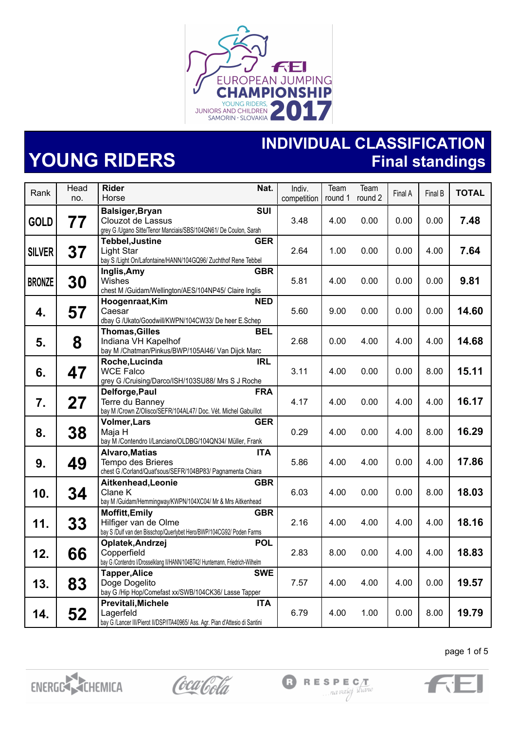

## **YOUNG RIDERS**

**INDIVIDUAL CLASSIFICATION Final standings**

| Rank          | Head<br>no. | <b>Rider</b><br>Nat.<br>Horse                                                                                                       | Indiv.<br>competition | Team<br>round 1 | Team<br>round 2 | Final A | Final B | <b>TOTAL</b> |
|---------------|-------------|-------------------------------------------------------------------------------------------------------------------------------------|-----------------------|-----------------|-----------------|---------|---------|--------------|
|               |             |                                                                                                                                     |                       |                 |                 |         |         |              |
| <b>GOLD</b>   | 77          | SUI<br>Balsiger, Bryan<br>Clouzot de Lassus<br>grey G /Ugano Sitte/Tenor Manciais/SBS/104GN61/ De Coulon, Sarah                     | 3.48                  | 4.00            | 0.00            | 0.00    | 0.00    | 7.48         |
| <b>SILVER</b> | 37          | <b>Tebbel, Justine</b><br><b>GER</b><br>Light Star<br>bay S /Light On/Lafontaine/HANN/104GQ96/ Zuchthof Rene Tebbel                 | 2.64                  | 1.00            | 0.00            | 0.00    | 4.00    | 7.64         |
| <b>BRONZE</b> | 30          | <b>GBR</b><br>Inglis, Amy<br>Wishes<br>chest M /Guidam/Wellington/AES/104NP45/ Claire Inglis                                        | 5.81                  | 4.00            | 0.00            | 0.00    | 0.00    | 9.81         |
| 4.            | 57          | Hoogenraat, Kim<br><b>NED</b><br>Caesar<br>dbay G /Ukato/Goodwill/KWPN/104CW33/ De heer E.Schep                                     | 5.60                  | 9.00            | 0.00            | 0.00    | 0.00    | 14.60        |
| 5.            | 8           | <b>Thomas, Gilles</b><br><b>BEL</b><br>Indiana VH Kapelhof<br>bay M / Chatman/Pinkus/BWP/105AI46/ Van Dijck Marc                    | 2.68                  | 0.00            | 4.00            | 4.00    | 4.00    | 14.68        |
| 6.            | 47          | Roche, Lucinda<br><b>IRL</b><br><b>WCE Falco</b><br>grey G / Cruising/Darco/ISH/103SU88/ Mrs S J Roche                              | 3.11                  | 4.00            | 0.00            | 0.00    | 8.00    | 15.11        |
| 7.            | 27          | Delforge, Paul<br><b>FRA</b><br>Terre du Banney<br>bay M /Crown Z/Olisco/SEFR/104AL47/ Doc. Vét. Michel Gabuíllot                   | 4.17                  | 4.00            | 0.00            | 4.00    | 4.00    | 16.17        |
| 8.            | 38          | <b>Volmer, Lars</b><br>GER<br>Maja H<br>bay M /Contendro I/Lanciano/OLDBG/104QN34/ Müller, Frank                                    | 0.29                  | 4.00            | 0.00            | 4.00    | 8.00    | 16.29        |
| 9.            | 49          | <b>Alvaro, Matias</b><br><b>ITA</b><br>Tempo des Brieres<br>chest G /Corland/Quat'sous/SEFR/104BP83/ Pagnamenta Chiara              | 5.86                  | 4.00            | 4.00            | 0.00    | 4.00    | 17.86        |
| 10.           | 34          | <b>GBR</b><br>Aitkenhead, Leonie<br>Clane K<br>bay M /Guidam/Hemmingway/KWPN/104XC04/ Mr & Mrs Aitkenhead                           | 6.03                  | 4.00            | 0.00            | 0.00    | 8.00    | 18.03        |
| 11.           | 33          | <b>Moffitt, Emily</b><br><b>GBR</b><br>Hilfiger van de Olme<br>bay S /Dulf van den Bisschop/Querlybet Hero/BWP/104CG92/ Poden Farms | 2.16                  | 4.00            | 4.00            | 4.00    | 4.00    | 18.16        |
| 12.           | 66          | Oplatek, Andrzej<br><b>POL</b><br>Copperfield<br>bay G /Contendro I/Drosselklang II/HANN/104BT42/ Huntemann, Friedrich-Wilhelm      | 2.83                  | 8.00            | 0.00            | 4.00    | 4.00    | 18.83        |
| 13.           | 83          | <b>Tapper, Alice</b><br><b>SWE</b><br>Doge Dogelito<br>bay G /Hip Hop/Comefast xx/SWB/104CK36/ Lasse Tapper                         | 7.57                  | 4.00            | 4.00            | 4.00    | 0.00    | 19.57        |
| 14.           | 52          | Previtali, Michele<br><b>ITA</b><br>Lagerfeld<br>bay G /Lancer III/Pierot II/DSP/ITA40965/ Ass. Agr. Pian d'Attesio di Santini      | 6.79                  | 4.00            | 1.00            | 0.00    | 8.00    | 19.79        |



Coca Cola





page 1 of 5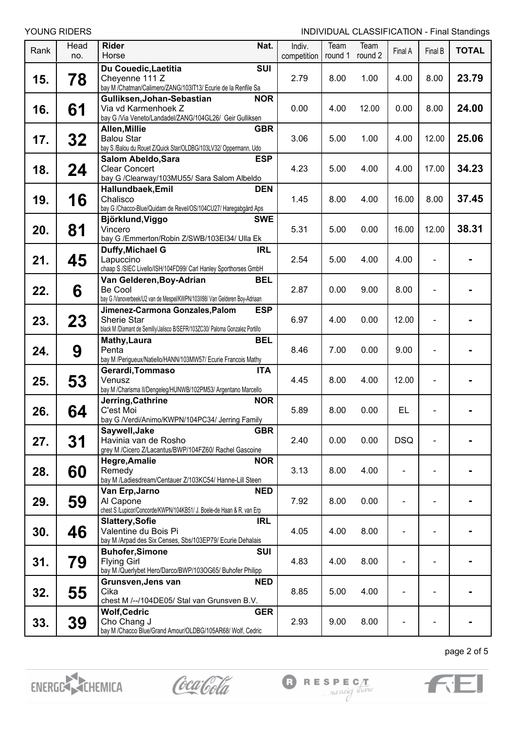| Rank | Head<br>no. | <b>Rider</b><br>Nat.<br>Horse                                                                                                                | Indiv.<br>competition | Team<br>round 1 | Team<br>round 2 | Final A        | Final B        | <b>TOTAL</b> |
|------|-------------|----------------------------------------------------------------------------------------------------------------------------------------------|-----------------------|-----------------|-----------------|----------------|----------------|--------------|
| 15.  | 78          | <b>SUI</b><br>Du Couedic, Laetitia<br>Cheyenne 111 Z<br>bay M /Chatman/Calimero/ZANG/103IT13/ Ecurie de la Renfile Sa                        | 2.79                  | 8.00            | 1.00            | 4.00           | 8.00           | 23.79        |
| 16.  | 61          | Gulliksen, Johan-Sebastian<br><b>NOR</b><br>Via vd Karmenhoek Z<br>bay G /Via Veneto/Landadel/ZANG/104GL26/ Geir Gulliksen                   | 0.00                  | 4.00            | 12.00           | 0.00           | 8.00           | 24.00        |
| 17.  | 32          | <b>GBR</b><br>Allen, Millie<br><b>Balou Star</b><br>bay S /Balou du Rouet Z/Quick Star/OLDBG/103LV32/ Oppermann, Udo                         | 3.06                  | 5.00            | 1.00            | 4.00           | 12.00          | 25.06        |
| 18.  | 24          | <b>ESP</b><br>Salom Abeldo, Sara<br><b>Clear Concert</b><br>bay G /Clearway/103MU55/ Sara Salom Albeldo                                      | 4.23                  | 5.00            | 4.00            | 4.00           | 17.00          | 34.23        |
| 19.  | 16          | <b>DEN</b><br>Hallundbaek, Emil<br>Chalisco<br>bay G /Chacco-Blue/Quidam de Revel/OS/104CU27/ Haregabgård Aps                                | 1.45                  | 8.00            | 4.00            | 16.00          | 8.00           | 37.45        |
| 20.  | 81          | <b>SWE</b><br>Björklund, Viggo<br>Vincero<br>bay G /Emmerton/Robin Z/SWB/103EI34/ Ulla Ek                                                    | 5.31                  | 5.00            | 0.00            | 16.00          | 12.00          | 38.31        |
| 21.  | 45          | Duffy, Michael G<br><b>IRL</b><br>Lapuccino<br>chaap S /SIEC Livello/ISH/104FD99/ Carl Hanley Sporthorses GmbH                               | 2.54                  | 5.00            | 4.00            | 4.00           |                |              |
| 22.  | 6           | Van Gelderen, Boy-Adrian<br><b>BEL</b><br><b>Be Cool</b><br>bay G /Vanoverbeek/U2 van de Mespel/KWPN/103II98/ Van Gelderen Boy-Adriaan       | 2.87                  | 0.00            | 9.00            | 8.00           |                |              |
| 23.  | 23          | Jimenez-Carmona Gonzales, Palom<br><b>ESP</b><br>Sherie Star<br>black M /Diamant de Semilly/Jalisco B/SEFR/103ZC30/ Paloma Gonzalez Portillo | 6.97                  | 4.00            | 0.00            | 12.00          | $\overline{a}$ |              |
| 24.  | 9           | <b>BEL</b><br>Mathy, Laura<br>Penta<br>bay M /Perigueux/Natiello/HANN/103MW57/ Ecurie Francois Mathy                                         | 8.46                  | 7.00            | 0.00            | 9.00           |                |              |
| 25.  | 53          | <b>ITA</b><br>Gerardi, Tommaso<br>Venusz<br>bay M /Charisma II/Dengeleg/HUNWB/102PM53/ Argentano Marcello                                    | 4.45                  | 8.00            | 4.00            | 12.00          |                |              |
| 26.  | 64          | Jerring, Cathrine<br><b>NOR</b><br>C'est Moi<br>bay G /Verdi/Animo/KWPN/104PC34/ Jerring Family                                              | 5.89                  | 8.00            | 0.00            | EL             |                |              |
| 27.  | 31          | Saywell, Jake<br><b>GBR</b><br>Havinia van de Rosho<br>grey M /Cicero Z/Lacantus/BWP/104FZ60/ Rachel Gascoine                                | 2.40                  | 0.00            | 0.00            | <b>DSQ</b>     |                |              |
| 28.  | 60          | <b>Hegre, Amalie</b><br><b>NOR</b><br>Remedy<br>bay M /Ladiesdream/Centauer Z/103KC54/ Hanne-Lill Steen                                      | 3.13                  | 8.00            | 4.00            | $\overline{a}$ |                |              |
| 29.  | 59          | Van Erp, Jarno<br><b>NED</b><br>Al Capone<br>chest S /Lupicor/Concorde/KWPN/104KB51/ J. Boele-de Haan & R. van Erp                           | 7.92                  | 8.00            | 0.00            | $\blacksquare$ |                |              |
| 30.  | 46          | <b>Slattery, Sofie</b><br><b>IRL</b><br>Valentine du Bois Pi<br>bay M /Arpad des Six Censes, Sbs/103EP79/ Ecurie Dehalais                    | 4.05                  | 4.00            | 8.00            |                |                |              |
| 31.  | 79          | <b>Buhofer, Simone</b><br>SUI<br><b>Flying Girl</b><br>bay M /Querlybet Hero/Darco/BWP/103OG65/ Buhofer Philipp                              | 4.83                  | 4.00            | 8.00            |                |                |              |
| 32.  | 55          | Grunsven, Jens van<br><b>NED</b><br>Cika<br>chest M /--/104DE05/ Stal van Grunsven B.V.                                                      | 8.85                  | 5.00            | 4.00            |                |                |              |
| 33.  | 39          | <b>GER</b><br><b>Wolf, Cedric</b><br>Cho Chang J<br>bay M /Chacco Blue/Grand Amour/OLDBG/105AR68/ Wolf, Cedric                               | 2.93                  | 9.00            | 8.00            |                |                |              |



Coca Cola





page 2 of 5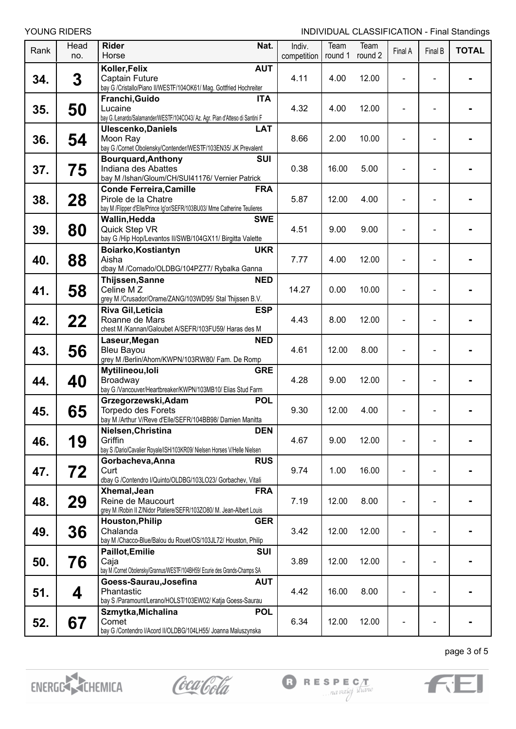| NG RIDERS |  |
|-----------|--|

| Rank | Head<br>no. | <b>Rider</b><br>Nat.<br>Horse                                                                                                                   | Indiv.<br>competition | Team<br>round 1 | Team<br>round 2 | Final A | Final B | <b>TOTAL</b> |
|------|-------------|-------------------------------------------------------------------------------------------------------------------------------------------------|-----------------------|-----------------|-----------------|---------|---------|--------------|
| 34.  | 3           | <b>AUT</b><br>Koller, Felix<br>Captain Future<br>bay G /Cristallo/Piano II/WESTF/104OK61/ Mag. Gottfried Hochreiter                             | 4.11                  | 4.00            | 12.00           |         |         |              |
| 35.  | 50          | Franchi, Guido<br><b>ITA</b><br>Lucaine<br>bay G /Lenardo/Salamander/WESTF/104CO43/ Az. Agr. Pian d'Atteso di Santini F                         | 4.32                  | 4.00            | 12.00           |         |         |              |
| 36.  | 54          | <b>LAT</b><br><b>Ulescenko, Daniels</b><br>Moon Ray<br>bay G /Cornet Obolensky/Contender/WESTF/103EN35/ JK Prevalent                            | 8.66                  | 2.00            | 10.00           |         |         |              |
| 37.  | 75          | <b>Bourguard, Anthony</b><br><b>SUI</b><br>Indiana des Abattes<br>bay M /Ishan/Gloum/CH/SUI41176/ Vernier Patrick                               | 0.38                  | 16.00           | 5.00            |         |         |              |
| 38.  | 28          | <b>FRA</b><br><b>Conde Ferreira, Camille</b><br>Pirole de la Chatre<br>bay M /Flipper d'Elle/Prince Ig'or/SEFR/103BU03/ Mme Catherine Teulieres | 5.87                  | 12.00           | 4.00            |         |         |              |
| 39.  | 80          | Wallin, Hedda<br><b>SWE</b><br>Quick Step VR<br>bay G /Hip Hop/Levantos II/SWB/104GX11/ Birgitta Valette                                        | 4.51                  | 9.00            | 9.00            |         |         |              |
| 40.  | 88          | <b>UKR</b><br>Boiarko, Kostiantyn<br>Aisha<br>dbay M /Cornado/OLDBG/104PZ77/ Rybalka Ganna                                                      | 7.77                  | 4.00            | 12.00           |         |         |              |
| 41.  | 58          | <b>NED</b><br>Thijssen, Sanne<br>Celine MZ<br>grey M /Crusador/Orame/ZANG/103WD95/ Stal Thijssen B.V.                                           | 14.27                 | 0.00            | 10.00           |         |         |              |
| 42.  | 22          | Riva Gil, Leticia<br><b>ESP</b><br>Roanne de Mars<br>chest M /Kannan/Galoubet A/SEFR/103FU59/ Haras des M                                       | 4.43                  | 8.00            | 12.00           |         |         |              |
| 43.  | 56          | <b>NED</b><br>Laseur, Megan<br><b>Bleu Bayou</b><br>grey M /Berlin/Ahorn/KWPN/103RW80/ Fam. De Romp                                             | 4.61                  | 12.00           | 8.00            |         |         |              |
| 44.  | 40          | Mytilineou, loli<br><b>GRE</b><br>Broadway<br>bay G /Vancouver/Heartbreaker/KWPN/103MB10/ Elias Stud Farm                                       | 4.28                  | 9.00            | 12.00           |         |         |              |
| 45.  | 65          | Grzegorzewski, Adam<br><b>POL</b><br><b>Torpedo des Forets</b><br>bay M /Arthur V/Reve d'Elle/SEFR/104BB98/ Damien Manitta                      | 9.30                  | 12.00           | 4.00            |         |         |              |
| 46.  | 19          | Nielsen, Christina<br><b>DEN</b><br>Griffin<br>bay S /Dario/Cavalier Royale/ISH/103KR09/ Nielsen Horses V/Helle Nielsen                         | 4.67                  | 9.00            | 12.00           | ۰       |         |              |
| 47.  | 72          | Gorbacheva, Anna<br><b>RUS</b><br>Curt<br>dbay G /Contendro I/Quinto/OLDBG/103LO23/ Gorbachev, Vitali                                           | 9.74                  | 1.00            | 16.00           |         |         |              |
| 48.  | 29          | Xhemal, Jean<br><b>FRA</b><br>Reine de Maucourt<br>grey M / Robin II Z/Nidor Platiere/SEFR/103ZO80/ M. Jean-Albert Louis                        | 7.19                  | 12.00           | 8.00            |         |         |              |
| 49.  | 36          | <b>Houston, Philip</b><br><b>GER</b><br>Chalanda<br>bay M /Chacco-Blue/Balou du Rouet/OS/103JL72/ Houston, Philip                               | 3.42                  | 12.00           | 12.00           |         |         |              |
| 50.  | 76          | Paillot, Emilie<br><b>SUI</b><br>Caja<br>bay M /Cornet Obolensky/Grannus/WESTF/104BH59/ Ecurie des Grands-Champs SA                             | 3.89                  | 12.00           | 12.00           |         |         |              |
| 51.  | 4           | Goess-Saurau, Josefina<br><b>AUT</b><br>Phantastic<br>bay S /Paramount/Lerano/HOLST/103EW02/ Katja Goess-Saurau                                 | 4.42                  | 16.00           | 8.00            |         |         |              |
| 52.  | 67          | Szmytka, Michalina<br><b>POL</b><br>Comet<br>bay G /Contendro I/Acord II/OLDBG/104LH55/ Joanna Maluszynska                                      | 6.34                  | 12.00           | 12.00           |         |         |              |



Coca Cola





page 3 of 5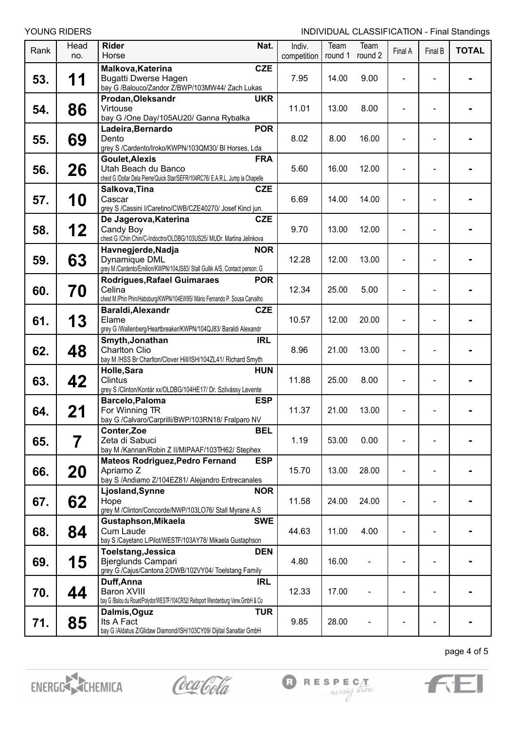| Rank | Head<br>no. | <b>Rider</b><br>Nat.<br>Horse                                                                                                                | Indiv.<br>competition | Team<br>round 1 | Team<br>round 2 | Final A        | <b>Final B</b>           | <b>TOTAL</b> |
|------|-------------|----------------------------------------------------------------------------------------------------------------------------------------------|-----------------------|-----------------|-----------------|----------------|--------------------------|--------------|
| 53.  | 11          | <b>CZE</b><br>Malkova, Katerina<br><b>Bugatti Dwerse Hagen</b><br>bay G /Balouco/Zandor Z/BWP/103MW44/ Zach Lukas                            | 7.95                  | 14.00           | 9.00            |                |                          |              |
| 54.  | 86          | Prodan, Oleksandr<br><b>UKR</b><br>Virtouse<br>bay G /One Day/105AU20/ Ganna Rybalka                                                         | 11.01                 | 13.00           | 8.00            |                |                          |              |
| 55.  | 69          | <b>POR</b><br>Ladeira, Bernardo<br>Dento<br>grey S /Cardento/Iroko/KWPN/103QM30/ BI Horses, Lda                                              | 8.02                  | 8.00            | 16.00           |                |                          |              |
| 56.  | 26          | <b>FRA</b><br><b>Goulet, Alexis</b><br>Utah Beach du Banco<br>chest G /Dollar Dela Pierre/Quick Star/SEFR/104RC76/ E.A.R.L. Jump la Chapelle | 5.60                  | 16.00           | 12.00           |                |                          |              |
| 57.  | 10          | <b>CZE</b><br>Salkova, Tina<br>Cascar<br>grey S /Cassini I/Caretino/CWB/CZE40270/ Josef Kincl jun.                                           | 6.69                  | 14.00           | 14.00           |                |                          |              |
| 58.  | 12          | De Jagerova, Katerina<br><b>CZE</b><br>Candy Boy<br>chest G /Chin Chin/C-Indoctro/OLDBG/103US25/ MUDr. Martina Jelinkova                     | 9.70                  | 13.00           | 12.00           |                |                          |              |
| 59.  | 63          | <b>NOR</b><br>Havnegjerde, Nadja<br>Dynamique DML<br>grey M /Cardento/Emilion/KWPN/104JS83/ Stall Gullik A/S, Contact person: G              | 12.28                 | 12.00           | 13.00           |                |                          |              |
| 60.  | 70          | <b>Rodrigues, Rafael Guimaraes</b><br><b>POR</b><br>Celina<br>chest M /Phin Phin/Habsburg/KWPN/104EW95/ Mário Fernando P. Sousa Carvalho     | 12.34                 | 25.00           | 5.00            |                |                          |              |
| 61.  | 13          | <b>CZE</b><br>Baraldi, Alexandr<br>Elame<br>grey G /Wallenberg/Heartbreaker/KWPN/104QJ83/ Baraldi Alexandr                                   | 10.57                 | 12.00           | 20.00           |                |                          |              |
| 62.  | 48          | Smyth, Jonathan<br><b>IRL</b><br><b>Charlton Clio</b><br>bay M /HSS Br Charlton/Clover Hill/ISH/104ZL41/ Richard Smyth                       | 8.96                  | 21.00           | 13.00           |                |                          |              |
| 63.  | 42          | Holle, Sara<br><b>HUN</b><br><b>Clintus</b><br>grey S /Clinton/Kontár xx/OLDBG/104HE17/ Dr. Szilvássy Levente                                | 11.88                 | 25.00           | 8.00            |                |                          |              |
| 64.  | 21          | Barcelo, Paloma<br><b>ESP</b><br>For Winning TR<br>bay G /Calvaro/Carprilli/BWP/103RN18/ Fralparo NV                                         | 11.37                 | 21.00           | 13.00           |                |                          |              |
| 65.  | 7           | Conter, Zoe<br><b>BEL</b><br>Zeta di Sabuci<br>bay M /Kannan/Robin Z II/MIPAAF/103TH62/ Stephex                                              | 1.19                  | 53.00           | 0.00            |                |                          |              |
| 66.  | 20          | <b>Mateos Rodriguez, Pedro Fernand</b><br><b>ESP</b><br>Apriamo Z<br>bay S /Andiamo Z/104EZ81/ Alejandro Entrecanales                        | 15.70                 | 13.00           | 28.00           | $\overline{a}$ |                          |              |
| 67.  | 62          | <b>NOR</b><br>Ljosland, Synne<br>Hope<br>grey M /Clinton/Concorde/NWP/103LO76/ Stall Myrane A.S                                              | 11.58                 | 24.00           | 24.00           |                |                          |              |
| 68.  | 84          | Gustaphson, Mikaela<br><b>SWE</b><br>Cum Laude<br>bay S / Cayetano L/Pilot/WESTF/103AY78/ Mikaela Gustaphson                                 | 44.63                 | 11.00           | 4.00            |                |                          |              |
| 69.  | 15          | Toelstang, Jessica<br><b>DEN</b><br>Bjerglunds Campari<br>grey G /Cajus/Cantona 2/DWB/102VY04/ Toelstang Family                              | 4.80                  | 16.00           |                 |                | $\overline{\phantom{0}}$ |              |
| 70.  | 44          | Duff, Anna<br><b>IRL</b><br><b>Baron XVIII</b><br>bay G /Balou du Rouet/Polydor/WESTF/104CR52/ Reitsport Wendenburg Verw.GmbH & Co           | 12.33                 | 17.00           |                 |                | $\overline{a}$           |              |
| 71.  | 85          | <b>TUR</b><br>Dalmis, Oguz<br>Its A Fact<br>bay G /Aldatus Z/Glidaw Diamond/ISH/103CY09/ Dijital Sanatlar GmbH                               | 9.85                  | 28.00           |                 |                |                          |              |



Coca Cola





page 4 of 5